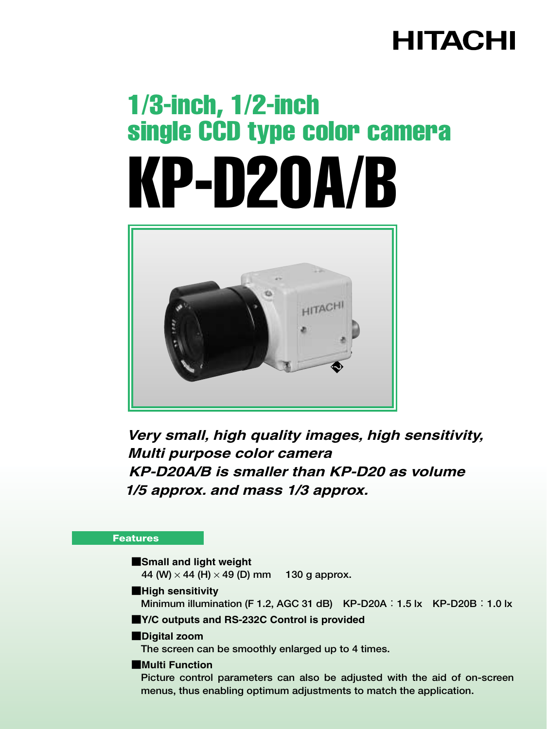## **HITACHI**

# 1/3-inch, 1/2-inch single CCD type color camera KP-D20A/B



**Very small, high quality images, high sensitivity, Multi purpose color camera KP-D20A/B is smaller than KP-D20 as volume 1/5 approx. and mass 1/3 approx.**

#### **Features**

#### ■**Small and light weight** �

**44 (W)** × **44 (H)** × **49 (D) mm 130 g approx.**

#### ■**High sensitivity**

**Minimum illumination (F 1.2, AGC 31 dB) KP-D20A**:**1.5 lx KP-D20B**:**1.0 lx**

#### ■**Y/C outputs and RS-232C Control is provided**

#### ■**Digital zoom**

**The screen can be smoothly enlarged up to 4 times.**

#### ■**Multi Function**

**Picture control parameters can also be adjusted with the aid of on-screen menus, thus enabling optimum adjustments to match the application.**